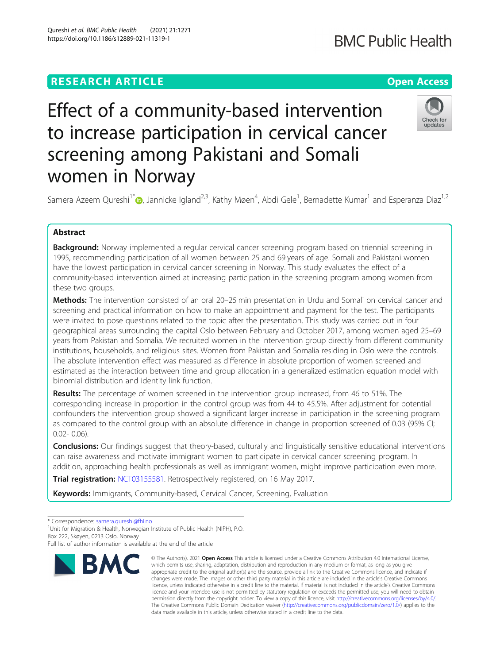women in Norway

# **RESEARCH ARTICLE Example 2014 12:30 The Contract of Contract ACCESS**

# **BMC Public Health**

# Effect of a community-based intervention to increase participation in cervical cancer screening among Pakistani and Somali



Samera Azeem Qureshi<sup>1[\\*](http://orcid.org/0000-0001-8711-733X)</sup> (**b**, Jannicke Igland<sup>2,3</sup>, Kathy Møen<sup>4</sup>, Abdi Gele<sup>1</sup>, Bernadette Kumar<sup>1</sup> and Esperanza Diaz<sup>1,2</sup>

# Abstract

Background: Norway implemented a regular cervical cancer screening program based on triennial screening in 1995, recommending participation of all women between 25 and 69 years of age. Somali and Pakistani women have the lowest participation in cervical cancer screening in Norway. This study evaluates the effect of a community-based intervention aimed at increasing participation in the screening program among women from these two groups.

Methods: The intervention consisted of an oral 20–25 min presentation in Urdu and Somali on cervical cancer and screening and practical information on how to make an appointment and payment for the test. The participants were invited to pose questions related to the topic after the presentation. This study was carried out in four geographical areas surrounding the capital Oslo between February and October 2017, among women aged 25–69 years from Pakistan and Somalia. We recruited women in the intervention group directly from different community institutions, households, and religious sites. Women from Pakistan and Somalia residing in Oslo were the controls. The absolute intervention effect was measured as difference in absolute proportion of women screened and estimated as the interaction between time and group allocation in a generalized estimation equation model with binomial distribution and identity link function.

Results: The percentage of women screened in the intervention group increased, from 46 to 51%. The corresponding increase in proportion in the control group was from 44 to 45.5%. After adjustment for potential confounders the intervention group showed a significant larger increase in participation in the screening program as compared to the control group with an absolute difference in change in proportion screened of 0.03 (95% CI; 0.02- 0.06).

**Conclusions:** Our findings suggest that theory-based, culturally and linguistically sensitive educational interventions can raise awareness and motivate immigrant women to participate in cervical cancer screening program. In addition, approaching health professionals as well as immigrant women, might improve participation even more.

Trial registration: [NCT03155581](https://clinicaltrials.gov/ct2/show/NCT03155581). Retrospectively registered, on 16 May 2017.

Keywords: Immigrants, Community-based, Cervical Cancer, Screening, Evaluation

\* Correspondence: [samera.qureshi@fhi.no](mailto:samera.qureshi@fhi.no) <sup>1</sup>

<sup>1</sup>Unit for Migration & Health, Norwegian Institute of Public Health (NIPH), P.O. Box 222, Skøyen, 0213 Oslo, Norway

Full list of author information is available at the end of the article



<sup>©</sup> The Author(s), 2021 **Open Access** This article is licensed under a Creative Commons Attribution 4.0 International License, which permits use, sharing, adaptation, distribution and reproduction in any medium or format, as long as you give appropriate credit to the original author(s) and the source, provide a link to the Creative Commons licence, and indicate if changes were made. The images or other third party material in this article are included in the article's Creative Commons licence, unless indicated otherwise in a credit line to the material. If material is not included in the article's Creative Commons licence and your intended use is not permitted by statutory regulation or exceeds the permitted use, you will need to obtain permission directly from the copyright holder. To view a copy of this licence, visit [http://creativecommons.org/licenses/by/4.0/.](http://creativecommons.org/licenses/by/4.0/) The Creative Commons Public Domain Dedication waiver [\(http://creativecommons.org/publicdomain/zero/1.0/](http://creativecommons.org/publicdomain/zero/1.0/)) applies to the data made available in this article, unless otherwise stated in a credit line to the data.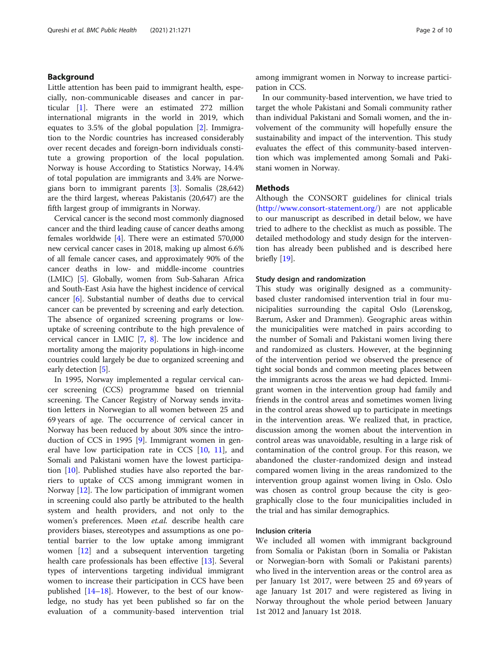# Background

Little attention has been paid to immigrant health, especially, non-communicable diseases and cancer in particular [\[1](#page-8-0)]. There were an estimated 272 million international migrants in the world in 2019, which equates to 3.5% of the global population [\[2](#page-8-0)]. Immigration to the Nordic countries has increased considerably over recent decades and foreign-born individuals constitute a growing proportion of the local population. Norway is house According to Statistics Norway, 14.4% of total population are immigrants and 3.4% are Norwegians born to immigrant parents [[3\]](#page-8-0). Somalis (28,642) are the third largest, whereas Pakistanis (20,647) are the fifth largest group of immigrants in Norway.

Cervical cancer is the second most commonly diagnosed cancer and the third leading cause of cancer deaths among females worldwide [\[4\]](#page-8-0). There were an estimated 570,000 new cervical cancer cases in 2018, making up almost 6.6% of all female cancer cases, and approximately 90% of the cancer deaths in low- and middle-income countries (LMIC) [\[5](#page-8-0)]. Globally, women from Sub-Saharan Africa and South-East Asia have the highest incidence of cervical cancer [\[6\]](#page-8-0). Substantial number of deaths due to cervical cancer can be prevented by screening and early detection. The absence of organized screening programs or lowuptake of screening contribute to the high prevalence of cervical cancer in LMIC [\[7,](#page-8-0) [8](#page-8-0)]. The low incidence and mortality among the majority populations in high-income countries could largely be due to organized screening and early detection [\[5\]](#page-8-0).

In 1995, Norway implemented a regular cervical cancer screening (CCS) programme based on triennial screening. The Cancer Registry of Norway sends invitation letters in Norwegian to all women between 25 and 69 years of age. The occurrence of cervical cancer in Norway has been reduced by about 30% since the introduction of CCS in 1995 [[9\]](#page-8-0). Immigrant women in general have low participation rate in CCS [\[10,](#page-8-0) [11\]](#page-8-0), and Somali and Pakistani women have the lowest participation [\[10\]](#page-8-0). Published studies have also reported the barriers to uptake of CCS among immigrant women in Norway [[12](#page-8-0)]. The low participation of immigrant women in screening could also partly be attributed to the health system and health providers, and not only to the women's preferences. Møen et.al. describe health care providers biases, stereotypes and assumptions as one potential barrier to the low uptake among immigrant women [[12\]](#page-8-0) and a subsequent intervention targeting health care professionals has been effective [[13\]](#page-8-0). Several types of interventions targeting individual immigrant women to increase their participation in CCS have been published  $[14–18]$  $[14–18]$  $[14–18]$  $[14–18]$  $[14–18]$ . However, to the best of our knowledge, no study has yet been published so far on the evaluation of a community-based intervention trial among immigrant women in Norway to increase participation in CCS.

In our community-based intervention, we have tried to target the whole Pakistani and Somali community rather than individual Pakistani and Somali women, and the involvement of the community will hopefully ensure the sustainability and impact of the intervention. This study evaluates the effect of this community-based intervention which was implemented among Somali and Pakistani women in Norway.

# **Methods**

Although the CONSORT guidelines for clinical trials ([http://www.consort-statement.org/](http://www.consort-statement.org/))) are not applicable to our manuscript as described in detail below, we have tried to adhere to the checklist as much as possible. The detailed methodology and study design for the intervention has already been published and is described here briefly  $[19]$  $[19]$ .

#### Study design and randomization

This study was originally designed as a communitybased cluster randomised intervention trial in four municipalities surrounding the capital Oslo (Lørenskog, Bærum, Asker and Drammen). Geographic areas within the municipalities were matched in pairs according to the number of Somali and Pakistani women living there and randomized as clusters. However, at the beginning of the intervention period we observed the presence of tight social bonds and common meeting places between the immigrants across the areas we had depicted. Immigrant women in the intervention group had family and friends in the control areas and sometimes women living in the control areas showed up to participate in meetings in the intervention areas. We realized that, in practice, discussion among the women about the intervention in control areas was unavoidable, resulting in a large risk of contamination of the control group. For this reason, we abandoned the cluster-randomized design and instead compared women living in the areas randomized to the intervention group against women living in Oslo. Oslo was chosen as control group because the city is geographically close to the four municipalities included in the trial and has similar demographics.

# Inclusion criteria

We included all women with immigrant background from Somalia or Pakistan (born in Somalia or Pakistan or Norwegian-born with Somali or Pakistani parents) who lived in the intervention areas or the control area as per January 1st 2017, were between 25 and 69 years of age January 1st 2017 and were registered as living in Norway throughout the whole period between January 1st 2012 and January 1st 2018.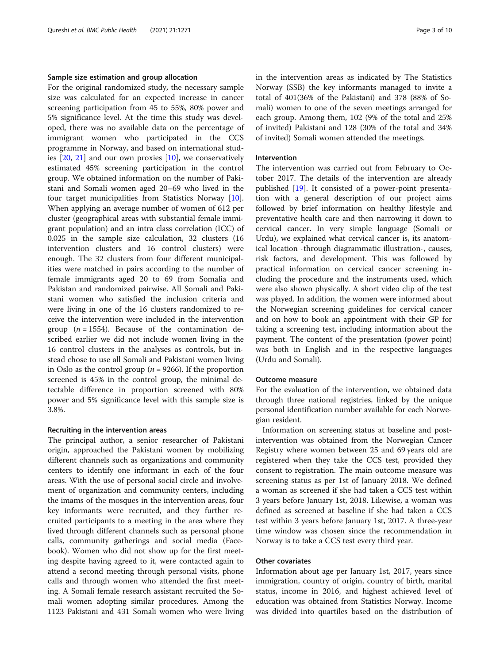#### Sample size estimation and group allocation

For the original randomized study, the necessary sample size was calculated for an expected increase in cancer screening participation from 45 to 55%, 80% power and 5% significance level. At the time this study was developed, there was no available data on the percentage of immigrant women who participated in the CCS programme in Norway, and based on international studies  $[20, 21]$  $[20, 21]$  $[20, 21]$  $[20, 21]$  and our own proxies  $[10]$  $[10]$ , we conservatively estimated 45% screening participation in the control group. We obtained information on the number of Pakistani and Somali women aged 20–69 who lived in the four target municipalities from Statistics Norway [\[10](#page-8-0)]. When applying an average number of women of 612 per cluster (geographical areas with substantial female immigrant population) and an intra class correlation (ICC) of 0.025 in the sample size calculation, 32 clusters (16 intervention clusters and 16 control clusters) were enough. The 32 clusters from four different municipalities were matched in pairs according to the number of female immigrants aged 20 to 69 from Somalia and Pakistan and randomized pairwise. All Somali and Pakistani women who satisfied the inclusion criteria and were living in one of the 16 clusters randomized to receive the intervention were included in the intervention group ( $n = 1554$ ). Because of the contamination described earlier we did not include women living in the 16 control clusters in the analyses as controls, but instead chose to use all Somali and Pakistani women living in Oslo as the control group ( $n = 9266$ ). If the proportion screened is 45% in the control group, the minimal detectable difference in proportion screened with 80% power and 5% significance level with this sample size is 3.8%.

# Recruiting in the intervention areas

The principal author, a senior researcher of Pakistani origin, approached the Pakistani women by mobilizing different channels such as organizations and community centers to identify one informant in each of the four areas. With the use of personal social circle and involvement of organization and community centers, including the imams of the mosques in the intervention areas, four key informants were recruited, and they further recruited participants to a meeting in the area where they lived through different channels such as personal phone calls, community gatherings and social media (Facebook). Women who did not show up for the first meeting despite having agreed to it, were contacted again to attend a second meeting through personal visits, phone calls and through women who attended the first meeting. A Somali female research assistant recruited the Somali women adopting similar procedures. Among the 1123 Pakistani and 431 Somali women who were living in the intervention areas as indicated by The Statistics Norway (SSB) the key informants managed to invite a total of 401(36% of the Pakistani) and 378 (88% of Somali) women to one of the seven meetings arranged for each group. Among them, 102 (9% of the total and 25% of invited) Pakistani and 128 (30% of the total and 34% of invited) Somali women attended the meetings.

#### Intervention

The intervention was carried out from February to October 2017. The details of the intervention are already published [[19\]](#page-8-0). It consisted of a power-point presentation with a general description of our project aims followed by brief information on healthy lifestyle and preventative health care and then narrowing it down to cervical cancer. In very simple language (Somali or Urdu), we explained what cervical cancer is, its anatomical location -through diagrammatic illustration-, causes, risk factors, and development. This was followed by practical information on cervical cancer screening including the procedure and the instruments used, which were also shown physically. A short video clip of the test was played. In addition, the women were informed about the Norwegian screening guidelines for cervical cancer and on how to book an appointment with their GP for taking a screening test, including information about the payment. The content of the presentation (power point) was both in English and in the respective languages (Urdu and Somali).

# Outcome measure

For the evaluation of the intervention, we obtained data through three national registries, linked by the unique personal identification number available for each Norwegian resident.

Information on screening status at baseline and postintervention was obtained from the Norwegian Cancer Registry where women between 25 and 69 years old are registered when they take the CCS test, provided they consent to registration. The main outcome measure was screening status as per 1st of January 2018. We defined a woman as screened if she had taken a CCS test within 3 years before January 1st, 2018. Likewise, a woman was defined as screened at baseline if she had taken a CCS test within 3 years before January 1st, 2017. A three-year time window was chosen since the recommendation in Norway is to take a CCS test every third year.

# Other covariates

Information about age per January 1st, 2017, years since immigration, country of origin, country of birth, marital status, income in 2016, and highest achieved level of education was obtained from Statistics Norway. Income was divided into quartiles based on the distribution of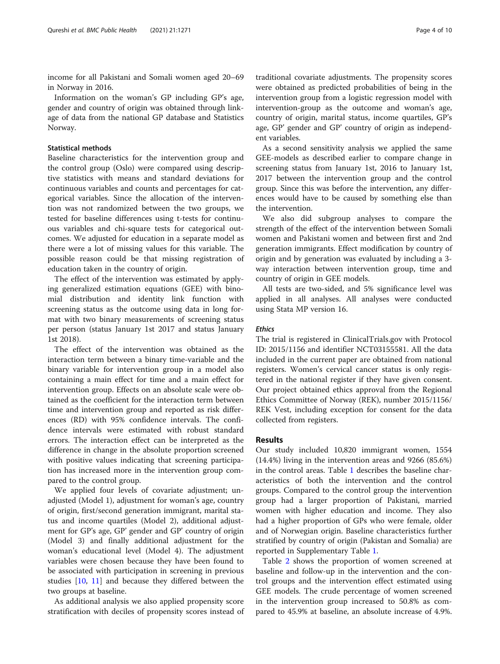income for all Pakistani and Somali women aged 20–69 in Norway in 2016.

Information on the woman's GP including GP's age, gender and country of origin was obtained through linkage of data from the national GP database and Statistics Norway.

# Statistical methods

Baseline characteristics for the intervention group and the control group (Oslo) were compared using descriptive statistics with means and standard deviations for continuous variables and counts and percentages for categorical variables. Since the allocation of the intervention was not randomized between the two groups, we tested for baseline differences using t-tests for continuous variables and chi-square tests for categorical outcomes. We adjusted for education in a separate model as there were a lot of missing values for this variable. The possible reason could be that missing registration of education taken in the country of origin.

The effect of the intervention was estimated by applying generalized estimation equations (GEE) with binomial distribution and identity link function with screening status as the outcome using data in long format with two binary measurements of screening status per person (status January 1st 2017 and status January 1st 2018).

The effect of the intervention was obtained as the interaction term between a binary time-variable and the binary variable for intervention group in a model also containing a main effect for time and a main effect for intervention group. Effects on an absolute scale were obtained as the coefficient for the interaction term between time and intervention group and reported as risk differences (RD) with 95% confidence intervals. The confidence intervals were estimated with robust standard errors. The interaction effect can be interpreted as the difference in change in the absolute proportion screened with positive values indicating that screening participation has increased more in the intervention group compared to the control group.

We applied four levels of covariate adjustment; unadjusted (Model 1), adjustment for woman's age, country of origin, first/second generation immigrant, marital status and income quartiles (Model 2), additional adjustment for GP's age, GP' gender and GP' country of origin (Model 3) and finally additional adjustment for the woman's educational level (Model 4). The adjustment variables were chosen because they have been found to be associated with participation in screening in previous studies [[10](#page-8-0), [11\]](#page-8-0) and because they differed between the two groups at baseline.

As additional analysis we also applied propensity score stratification with deciles of propensity scores instead of traditional covariate adjustments. The propensity scores were obtained as predicted probabilities of being in the intervention group from a logistic regression model with intervention-group as the outcome and woman's age, country of origin, marital status, income quartiles, GP's age, GP' gender and GP' country of origin as independent variables.

As a second sensitivity analysis we applied the same GEE-models as described earlier to compare change in screening status from January 1st, 2016 to January 1st, 2017 between the intervention group and the control group. Since this was before the intervention, any differences would have to be caused by something else than the intervention.

We also did subgroup analyses to compare the strength of the effect of the intervention between Somali women and Pakistani women and between first and 2nd generation immigrants. Effect modification by country of origin and by generation was evaluated by including a 3 way interaction between intervention group, time and country of origin in GEE models.

All tests are two-sided, and 5% significance level was applied in all analyses. All analyses were conducted using Stata MP version 16.

# Ethics

The trial is registered in ClinicalTrials.gov with Protocol ID: 2015/1156 and identifier NCT03155581. All the data included in the current paper are obtained from national registers. Women's cervical cancer status is only registered in the national register if they have given consent. Our project obtained ethics approval from the Regional Ethics Committee of Norway (REK), number 2015/1156/ REK Vest, including exception for consent for the data collected from registers.

#### Results

Our study included 10,820 immigrant women, 1554 (14.4%) living in the intervention areas and 9266 (85.6%) in the control areas. Table [1](#page-4-0) describes the baseline characteristics of both the intervention and the control groups. Compared to the control group the intervention group had a larger proportion of Pakistani, married women with higher education and income. They also had a higher proportion of GPs who were female, older and of Norwegian origin. Baseline characteristics further stratified by country of origin (Pakistan and Somalia) are reported in Supplementary Table [1.](#page-7-0)

Table [2](#page-4-0) shows the proportion of women screened at baseline and follow-up in the intervention and the control groups and the intervention effect estimated using GEE models. The crude percentage of women screened in the intervention group increased to 50.8% as compared to 45.9% at baseline, an absolute increase of 4.9%.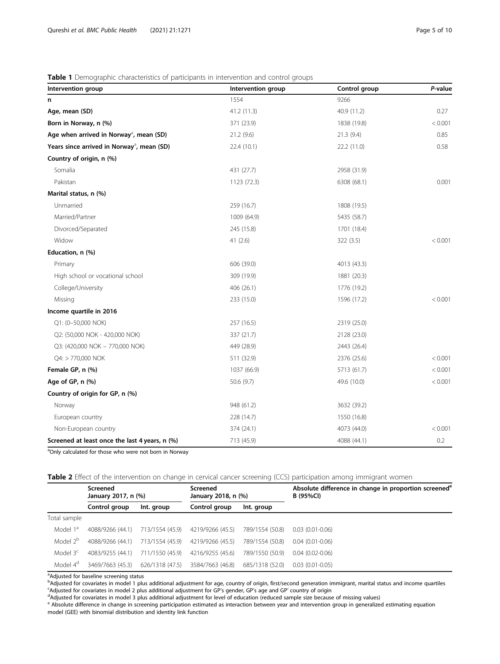# <span id="page-4-0"></span>Table 1 Demographic characteristics of participants in intervention and control groups

| Intervention group                                     | Intervention group | Control group | P-value |
|--------------------------------------------------------|--------------------|---------------|---------|
| n                                                      | 1554               | 9266          |         |
| Age, mean (SD)                                         | 41.2 (11.3)        | 40.9 (11.2)   | 0.27    |
| Born in Norway, n (%)                                  | 371 (23.9)         | 1838 (19.8)   | < 0.001 |
| Age when arrived in Norway <sup>3</sup> , mean (SD)    | 21.2 (9.6)         | 21.3 (9.4)    | 0.85    |
| Years since arrived in Norway <sup>3</sup> , mean (SD) | 22.4 (10.1)        | 22.2 (11.0)   | 0.58    |
| Country of origin, n (%)                               |                    |               |         |
| Somalia                                                | 431 (27.7)         | 2958 (31.9)   |         |
| Pakistan                                               | 1123 (72.3)        | 6308 (68.1)   | 0.001   |
| Marital status, n (%)                                  |                    |               |         |
| Unmarried                                              | 259 (16.7)         | 1808 (19.5)   |         |
| Married/Partner                                        | 1009 (64.9)        | 5435 (58.7)   |         |
| Divorced/Separated                                     | 245 (15.8)         | 1701 (18.4)   |         |
| Widow                                                  | 41(2.6)            | 322 (3.5)     | < 0.001 |
| Education, n (%)                                       |                    |               |         |
| Primary                                                | 606 (39.0)         | 4013 (43.3)   |         |
| High school or vocational school                       | 309 (19.9)         | 1881 (20.3)   |         |
| College/University                                     | 406 (26.1)         | 1776 (19.2)   |         |
| Missing                                                | 233 (15.0)         | 1596 (17.2)   | < 0.001 |
| Income quartile in 2016                                |                    |               |         |
| Q1: (0-50,000 NOK)                                     | 257 (16.5)         | 2319 (25.0)   |         |
| Q2: (50,000 NOK - 420,000 NOK)                         | 337 (21.7)         | 2128 (23.0)   |         |
| Q3: (420,000 NOK - 770,000 NOK)                        | 449 (28.9)         | 2443 (26.4)   |         |
| Q4: > 770,000 NOK                                      | 511 (32.9)         | 2376 (25.6)   | < 0.001 |
| Female GP, n (%)                                       | 1037 (66.9)        | 5713 (61.7)   | < 0.001 |
| Age of GP, n (%)                                       | 50.6 (9.7)         | 49.6 (10.0)   | < 0.001 |
| Country of origin for GP, n (%)                        |                    |               |         |
| Norway                                                 | 948 (61.2)         | 3632 (39.2)   |         |
| European country                                       | 228 (14.7)         | 1550 (16.8)   |         |
| Non-European country                                   | 374 (24.1)         | 4073 (44.0)   | < 0.001 |
| Screened at least once the last 4 years, n (%)         | 713 (45.9)         | 4088 (44.1)   | 0.2     |

<sup>a</sup>Only calculated for those who were not born in Norway

Table 2 Effect of the intervention on change in cervical cancer screening (CCS) participation among immigrant women

|                      | Screened<br>January 2017, n (%) |                 | Screened<br>January 2018, n (%) |                 | Absolute difference in change in proportion screened <sup>e</sup><br>B (95%CI) |  |
|----------------------|---------------------------------|-----------------|---------------------------------|-----------------|--------------------------------------------------------------------------------|--|
|                      | Control group                   | Int. group      | Control group                   | Int. group      |                                                                                |  |
| Total sample         |                                 |                 |                                 |                 |                                                                                |  |
| Model 1 <sup>ª</sup> | 4088/9266 (44.1)                | 713/1554 (45.9) | 4219/9266 (45.5)                | 789/1554 (50.8) | $0.03(0.01-0.06)$                                                              |  |
| Model 2 <sup>b</sup> | 4088/9266 (44.1)                | 713/1554 (45.9) | 4219/9266 (45.5)                | 789/1554 (50.8) | $0.04(0.01 - 0.06)$                                                            |  |
| Model $3c$           | 4083/9255 (44.1)                | 711/1550 (45.9) | 4216/9255 (45.6)                | 789/1550 (50.9) | $0.04(0.02 - 0.06)$                                                            |  |
| Model 4 <sup>d</sup> | 3469/7663 (45.3)                | 626/1318 (47.5) | 3584/7663 (46.8)                | 685/1318 (52.0) | $0.03(0.01 - 0.05)$                                                            |  |

<sup>a</sup>Adjusted for baseline screening status<br><sup>b</sup>Adjusted for covariates in model 1 plus additional adjustment for age, country of origin, first/second generation immigrant, marital status and income quartiles<br>SAdjusted for co Adjusted for covariates in model 2 plus additional adjustment for GP's gender, GP's age and GP' country of origin <sup>d</sup>

<sup>a</sup>Adjusted for covariates in model 3 plus additional adjustment for level of education (reduced sample size because of missing values)<br><sup>e</sup> Absolute difference in change in screening participation estimated as interaction model (GEE) with binomial distribution and identity link function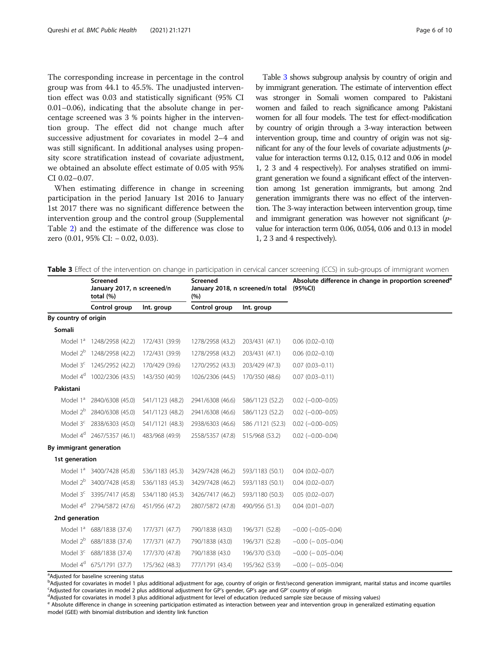<span id="page-5-0"></span>The corresponding increase in percentage in the control group was from 44.1 to 45.5%. The unadjusted intervention effect was 0.03 and statistically significant (95% CI 0.01–0.06), indicating that the absolute change in percentage screened was 3 % points higher in the intervention group. The effect did not change much after successive adjustment for covariates in model 2–4 and was still significant. In additional analyses using propensity score stratification instead of covariate adjustment, we obtained an absolute effect estimate of 0.05 with 95% CI 0.02–0.07.

When estimating difference in change in screening participation in the period January 1st 2016 to January 1st 2017 there was no significant difference between the intervention group and the control group (Supplemental Table [2](#page-7-0)) and the estimate of the difference was close to zero (0.01, 95% CI: − 0.02, 0.03).

Screened

total (%)

By country of origin

January 2017, n screened/n

Table 3 shows subgroup analysis by country of origin and by immigrant generation. The estimate of intervention effect was stronger in Somali women compared to Pakistani women and failed to reach significance among Pakistani women for all four models. The test for effect-modification by country of origin through a 3-way interaction between intervention group, time and country of origin was not significant for any of the four levels of covariate adjustments (pvalue for interaction terms 0.12, 0.15, 0.12 and 0.06 in model 1, 2 3 and 4 respectively). For analyses stratified on immigrant generation we found a significant effect of the intervention among 1st generation immigrants, but among 2nd generation immigrants there was no effect of the intervention. The 3-way interaction between intervention group, time and immigrant generation was however not significant (pvalue for interaction term 0.06, 0.054, 0.06 and 0.13 in model 1, 2 3 and 4 respectively).

Absolute difference in change in proportion screened<sup>e</sup>

Table 3 Effect of the intervention on change in participation in cervical cancer screening (CCS) in sub-groups of immigrant women

(95%CI)

January 2018, n screened/n total

Screened

 $(9/6)$ 

Control group Int. group Control group Int. group

| Somali<br>Model 1 <sup>ª</sup> 1248/2958 (42.2)<br>172/431 (39.9)<br>203/431 (47.1)<br>$0.06(0.02 - 0.10)$<br>1278/2958 (43.2)<br>Model 2 <sup>b</sup> 1248/2958 (42.2)<br>172/431 (39.9)<br>$0.06(0.02 - 0.10)$<br>1278/2958 (43.2)<br>203/431 (47.1)<br>Model 3 <sup>c</sup> 1245/2952 (42.2)<br>170/429 (39.6)<br>1270/2952 (43.3)<br>203/429 (47.3)<br>$0.07(0.03 - 0.11)$<br>Model 4 <sup>d</sup> 1002/2306 (43.5)<br>143/350 (40.9)<br>1026/2306 (44.5)<br>170/350 (48.6)<br>$0.07(0.03 - 0.11)$<br>Pakistani<br>Model 1 <sup>a</sup><br>541/1123 (48.2)<br>2941/6308 (46.6)<br>586/1123 (52.2)<br>$0.02$ ( $-0.00 - 0.05$ )<br>2840/6308 (45.0)<br>Model 2 <sup>b</sup><br>2840/6308 (45.0)<br>541/1123 (48.2)<br>2941/6308 (46.6)<br>586/1123 (52.2)<br>$0.02$ ( $-0.00 - 0.05$ )<br>Model 3 <sup>c</sup> 2838/6303 (45.0)<br>541/1121 (48.3)<br>2938/6303 (46.6)<br>586 / 1121 (52.3)<br>$0.02$ ( $-0.00 - 0.05$ )<br>Model 4 <sup>d</sup> 2467/5357 (46.1)<br>483/968 (49.9)<br>2558/5357 (47.8)<br>515/968 (53.2)<br>$0.02$ ( $-0.00 - 0.04$ )<br>By immigrant generation<br>1st generation<br>Model 1 <sup>ª</sup> 3400/7428 (45.8)<br>536/1183 (45.3)<br>593/1183 (50.1)<br>3429/7428 (46.2)<br>$0.04(0.02 - 0.07)$<br>Model 2 <sup>b</sup> 3400/7428 (45.8)<br>536/1183 (45.3)<br>3429/7428 (46.2)<br>593/1183 (50.1)<br>$0.04(0.02 - 0.07)$<br>Model 3 <sup>c</sup> 3395/7417 (45.8)<br>534/1180 (45.3)<br>3426/7417 (46.2)<br>593/1180 (50.3)<br>$0.05(0.02 - 0.07)$<br>Model 4 <sup>d</sup> 2794/5872 (47.6)<br>451/956 (47.2)<br>2807/5872 (47.8)<br>490/956 (51.3)<br>$0.04$ $(0.01 - 0.07)$<br>2nd generation<br>Model 1 <sup>ª</sup> 688/1838 (37.4)<br>177/371 (47.7)<br>790/1838 (43.0)<br>196/371 (52.8)<br>$-0.00$ $(-0.05 - 0.04)$<br>Model 2 <sup>b</sup> 688/1838 (37.4)<br>177/371 (47.7)<br>790/1838 (43.0)<br>196/371 (52.8)<br>$-0.00$ ( $-0.05-0.04$ )<br>Model 3 <sup>c</sup> 688/1838 (37.4)<br>177/370 (47.8)<br>790/1838 (43.0<br>196/370 (53.0)<br>$-0.00$ ( $-0.05-0.04$ )<br>Model 4 <sup>d</sup> 675/1791 (37.7)<br>175/362 (48.3)<br>777/1791 (43.4)<br>195/362 (53.9)<br>$-0.00$ ( $-0.05 - 0.04$ ) |  |  |  |
|------------------------------------------------------------------------------------------------------------------------------------------------------------------------------------------------------------------------------------------------------------------------------------------------------------------------------------------------------------------------------------------------------------------------------------------------------------------------------------------------------------------------------------------------------------------------------------------------------------------------------------------------------------------------------------------------------------------------------------------------------------------------------------------------------------------------------------------------------------------------------------------------------------------------------------------------------------------------------------------------------------------------------------------------------------------------------------------------------------------------------------------------------------------------------------------------------------------------------------------------------------------------------------------------------------------------------------------------------------------------------------------------------------------------------------------------------------------------------------------------------------------------------------------------------------------------------------------------------------------------------------------------------------------------------------------------------------------------------------------------------------------------------------------------------------------------------------------------------------------------------------------------------------------------------------------------------------------------------------------------------------------------------------------------------------------------------------------------------------------------------------------------|--|--|--|
|                                                                                                                                                                                                                                                                                                                                                                                                                                                                                                                                                                                                                                                                                                                                                                                                                                                                                                                                                                                                                                                                                                                                                                                                                                                                                                                                                                                                                                                                                                                                                                                                                                                                                                                                                                                                                                                                                                                                                                                                                                                                                                                                                |  |  |  |
|                                                                                                                                                                                                                                                                                                                                                                                                                                                                                                                                                                                                                                                                                                                                                                                                                                                                                                                                                                                                                                                                                                                                                                                                                                                                                                                                                                                                                                                                                                                                                                                                                                                                                                                                                                                                                                                                                                                                                                                                                                                                                                                                                |  |  |  |
|                                                                                                                                                                                                                                                                                                                                                                                                                                                                                                                                                                                                                                                                                                                                                                                                                                                                                                                                                                                                                                                                                                                                                                                                                                                                                                                                                                                                                                                                                                                                                                                                                                                                                                                                                                                                                                                                                                                                                                                                                                                                                                                                                |  |  |  |
|                                                                                                                                                                                                                                                                                                                                                                                                                                                                                                                                                                                                                                                                                                                                                                                                                                                                                                                                                                                                                                                                                                                                                                                                                                                                                                                                                                                                                                                                                                                                                                                                                                                                                                                                                                                                                                                                                                                                                                                                                                                                                                                                                |  |  |  |
|                                                                                                                                                                                                                                                                                                                                                                                                                                                                                                                                                                                                                                                                                                                                                                                                                                                                                                                                                                                                                                                                                                                                                                                                                                                                                                                                                                                                                                                                                                                                                                                                                                                                                                                                                                                                                                                                                                                                                                                                                                                                                                                                                |  |  |  |
|                                                                                                                                                                                                                                                                                                                                                                                                                                                                                                                                                                                                                                                                                                                                                                                                                                                                                                                                                                                                                                                                                                                                                                                                                                                                                                                                                                                                                                                                                                                                                                                                                                                                                                                                                                                                                                                                                                                                                                                                                                                                                                                                                |  |  |  |
|                                                                                                                                                                                                                                                                                                                                                                                                                                                                                                                                                                                                                                                                                                                                                                                                                                                                                                                                                                                                                                                                                                                                                                                                                                                                                                                                                                                                                                                                                                                                                                                                                                                                                                                                                                                                                                                                                                                                                                                                                                                                                                                                                |  |  |  |
|                                                                                                                                                                                                                                                                                                                                                                                                                                                                                                                                                                                                                                                                                                                                                                                                                                                                                                                                                                                                                                                                                                                                                                                                                                                                                                                                                                                                                                                                                                                                                                                                                                                                                                                                                                                                                                                                                                                                                                                                                                                                                                                                                |  |  |  |
|                                                                                                                                                                                                                                                                                                                                                                                                                                                                                                                                                                                                                                                                                                                                                                                                                                                                                                                                                                                                                                                                                                                                                                                                                                                                                                                                                                                                                                                                                                                                                                                                                                                                                                                                                                                                                                                                                                                                                                                                                                                                                                                                                |  |  |  |
|                                                                                                                                                                                                                                                                                                                                                                                                                                                                                                                                                                                                                                                                                                                                                                                                                                                                                                                                                                                                                                                                                                                                                                                                                                                                                                                                                                                                                                                                                                                                                                                                                                                                                                                                                                                                                                                                                                                                                                                                                                                                                                                                                |  |  |  |
|                                                                                                                                                                                                                                                                                                                                                                                                                                                                                                                                                                                                                                                                                                                                                                                                                                                                                                                                                                                                                                                                                                                                                                                                                                                                                                                                                                                                                                                                                                                                                                                                                                                                                                                                                                                                                                                                                                                                                                                                                                                                                                                                                |  |  |  |
|                                                                                                                                                                                                                                                                                                                                                                                                                                                                                                                                                                                                                                                                                                                                                                                                                                                                                                                                                                                                                                                                                                                                                                                                                                                                                                                                                                                                                                                                                                                                                                                                                                                                                                                                                                                                                                                                                                                                                                                                                                                                                                                                                |  |  |  |
|                                                                                                                                                                                                                                                                                                                                                                                                                                                                                                                                                                                                                                                                                                                                                                                                                                                                                                                                                                                                                                                                                                                                                                                                                                                                                                                                                                                                                                                                                                                                                                                                                                                                                                                                                                                                                                                                                                                                                                                                                                                                                                                                                |  |  |  |
|                                                                                                                                                                                                                                                                                                                                                                                                                                                                                                                                                                                                                                                                                                                                                                                                                                                                                                                                                                                                                                                                                                                                                                                                                                                                                                                                                                                                                                                                                                                                                                                                                                                                                                                                                                                                                                                                                                                                                                                                                                                                                                                                                |  |  |  |
|                                                                                                                                                                                                                                                                                                                                                                                                                                                                                                                                                                                                                                                                                                                                                                                                                                                                                                                                                                                                                                                                                                                                                                                                                                                                                                                                                                                                                                                                                                                                                                                                                                                                                                                                                                                                                                                                                                                                                                                                                                                                                                                                                |  |  |  |
|                                                                                                                                                                                                                                                                                                                                                                                                                                                                                                                                                                                                                                                                                                                                                                                                                                                                                                                                                                                                                                                                                                                                                                                                                                                                                                                                                                                                                                                                                                                                                                                                                                                                                                                                                                                                                                                                                                                                                                                                                                                                                                                                                |  |  |  |
|                                                                                                                                                                                                                                                                                                                                                                                                                                                                                                                                                                                                                                                                                                                                                                                                                                                                                                                                                                                                                                                                                                                                                                                                                                                                                                                                                                                                                                                                                                                                                                                                                                                                                                                                                                                                                                                                                                                                                                                                                                                                                                                                                |  |  |  |
|                                                                                                                                                                                                                                                                                                                                                                                                                                                                                                                                                                                                                                                                                                                                                                                                                                                                                                                                                                                                                                                                                                                                                                                                                                                                                                                                                                                                                                                                                                                                                                                                                                                                                                                                                                                                                                                                                                                                                                                                                                                                                                                                                |  |  |  |
|                                                                                                                                                                                                                                                                                                                                                                                                                                                                                                                                                                                                                                                                                                                                                                                                                                                                                                                                                                                                                                                                                                                                                                                                                                                                                                                                                                                                                                                                                                                                                                                                                                                                                                                                                                                                                                                                                                                                                                                                                                                                                                                                                |  |  |  |
|                                                                                                                                                                                                                                                                                                                                                                                                                                                                                                                                                                                                                                                                                                                                                                                                                                                                                                                                                                                                                                                                                                                                                                                                                                                                                                                                                                                                                                                                                                                                                                                                                                                                                                                                                                                                                                                                                                                                                                                                                                                                                                                                                |  |  |  |
|                                                                                                                                                                                                                                                                                                                                                                                                                                                                                                                                                                                                                                                                                                                                                                                                                                                                                                                                                                                                                                                                                                                                                                                                                                                                                                                                                                                                                                                                                                                                                                                                                                                                                                                                                                                                                                                                                                                                                                                                                                                                                                                                                |  |  |  |

<sup>a</sup>Adjusted for baseline screening status

b Adjusted for covariates in model 1 plus additional adjustment for age, country of origin or first/second generation immigrant, marital status and income quartiles country and income and income quartiles country of origin <sup>c</sup>Adjusted for covariates in model 2 plus additional adjustment for GP's gender, GP's age and GP' country of origin

<sup>d</sup>Adjusted for covariates in model 3 plus additional adjustment for level of education (reduced sample size because of missing values)

e Absolute difference in change in screening participation estimated as interaction between year and intervention group in generalized estimating equation model (GEE) with binomial distribution and identity link function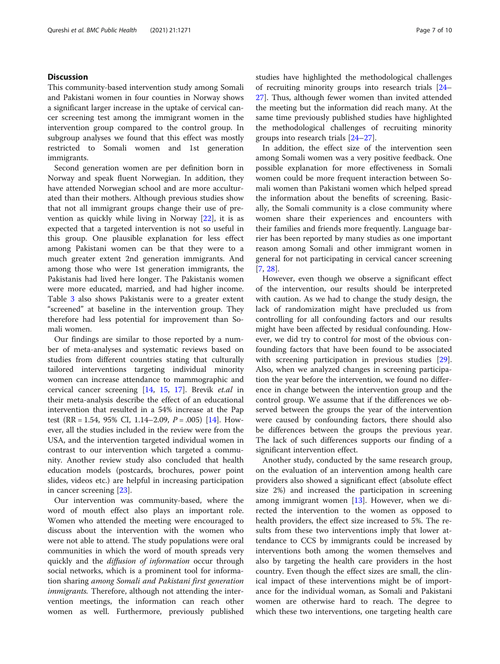# **Discussion**

This community-based intervention study among Somali and Pakistani women in four counties in Norway shows a significant larger increase in the uptake of cervical cancer screening test among the immigrant women in the intervention group compared to the control group. In subgroup analyses we found that this effect was mostly restricted to Somali women and 1st generation immigrants.

Second generation women are per definition born in Norway and speak fluent Norwegian. In addition, they have attended Norwegian school and are more acculturated than their mothers. Although previous studies show that not all immigrant groups change their use of prevention as quickly while living in Norway [\[22\]](#page-8-0), it is as expected that a targeted intervention is not so useful in this group. One plausible explanation for less effect among Pakistani women can be that they were to a much greater extent 2nd generation immigrants. And among those who were 1st generation immigrants, the Pakistanis had lived here longer. The Pakistanis women were more educated, married, and had higher income. Table [3](#page-5-0) also shows Pakistanis were to a greater extent "screened" at baseline in the intervention group. They therefore had less potential for improvement than Somali women.

Our findings are similar to those reported by a number of meta-analyses and systematic reviews based on studies from different countries stating that culturally tailored interventions targeting individual minority women can increase attendance to mammographic and cervical cancer screening [[14,](#page-8-0) [15](#page-8-0), [17](#page-8-0)]. Brevik et.al in their meta-analysis describe the effect of an educational intervention that resulted in a 54% increase at the Pap test (RR = 1.54, 95% CI, 1.14–2.09,  $P = .005$ ) [\[14](#page-8-0)]. However, all the studies included in the review were from the USA, and the intervention targeted individual women in contrast to our intervention which targeted a community. Another review study also concluded that health education models (postcards, brochures, power point slides, videos etc.) are helpful in increasing participation in cancer screening [\[23\]](#page-8-0).

Our intervention was community-based, where the word of mouth effect also plays an important role. Women who attended the meeting were encouraged to discuss about the intervention with the women who were not able to attend. The study populations were oral communities in which the word of mouth spreads very quickly and the *diffusion of information* occur through social networks, which is a prominent tool for information sharing among Somali and Pakistani first generation *immigrants*. Therefore, although not attending the intervention meetings, the information can reach other women as well. Furthermore, previously published studies have highlighted the methodological challenges of recruiting minority groups into research trials [[24](#page-8-0)– [27\]](#page-9-0). Thus, although fewer women than invited attended the meeting but the information did reach many. At the same time previously published studies have highlighted the methodological challenges of recruiting minority groups into research trials [[24](#page-8-0)–[27\]](#page-9-0).

In addition, the effect size of the intervention seen among Somali women was a very positive feedback. One possible explanation for more effectiveness in Somali women could be more frequent interaction between Somali women than Pakistani women which helped spread the information about the benefits of screening. Basically, the Somali community is a close community where women share their experiences and encounters with their families and friends more frequently. Language barrier has been reported by many studies as one important reason among Somali and other immigrant women in general for not participating in cervical cancer screening [[7,](#page-8-0) [28\]](#page-9-0).

However, even though we observe a significant effect of the intervention, our results should be interpreted with caution. As we had to change the study design, the lack of randomization might have precluded us from controlling for all confounding factors and our results might have been affected by residual confounding. However, we did try to control for most of the obvious confounding factors that have been found to be associated with screening participation in previous studies [\[29](#page-9-0)]. Also, when we analyzed changes in screening participation the year before the intervention, we found no difference in change between the intervention group and the control group. We assume that if the differences we observed between the groups the year of the intervention were caused by confounding factors, there should also be differences between the groups the previous year. The lack of such differences supports our finding of a significant intervention effect.

Another study, conducted by the same research group, on the evaluation of an intervention among health care providers also showed a significant effect (absolute effect size 2%) and increased the participation in screening among immigrant women [\[13\]](#page-8-0). However, when we directed the intervention to the women as opposed to health providers, the effect size increased to 5%. The results from these two interventions imply that lower attendance to CCS by immigrants could be increased by interventions both among the women themselves and also by targeting the health care providers in the host country. Even though the effect sizes are small, the clinical impact of these interventions might be of importance for the individual woman, as Somali and Pakistani women are otherwise hard to reach. The degree to which these two interventions, one targeting health care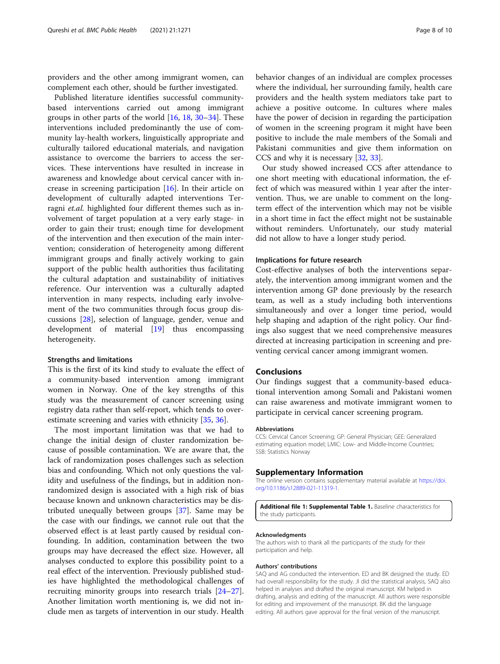<span id="page-7-0"></span>providers and the other among immigrant women, can complement each other, should be further investigated.

Published literature identifies successful communitybased interventions carried out among immigrant groups in other parts of the world [\[16](#page-8-0), [18](#page-8-0), [30](#page-9-0)–[34\]](#page-9-0). These interventions included predominantly the use of community lay-health workers, linguistically appropriate and culturally tailored educational materials, and navigation assistance to overcome the barriers to access the services. These interventions have resulted in increase in awareness and knowledge about cervical cancer with increase in screening participation  $[16]$  $[16]$  $[16]$ . In their article on development of culturally adapted interventions Terragni et.al. highlighted four different themes such as involvement of target population at a very early stage- in order to gain their trust; enough time for development of the intervention and then execution of the main intervention; consideration of heterogeneity among different immigrant groups and finally actively working to gain support of the public health authorities thus facilitating the cultural adaptation and sustainability of initiatives reference. Our intervention was a culturally adapted intervention in many respects, including early involvement of the two communities through focus group discussions [\[28](#page-9-0)], selection of language, gender, venue and development of material [\[19\]](#page-8-0) thus encompassing heterogeneity.

#### Strengths and limitations

This is the first of its kind study to evaluate the effect of a community-based intervention among immigrant women in Norway. One of the key strengths of this study was the measurement of cancer screening using registry data rather than self-report, which tends to overestimate screening and varies with ethnicity [[35,](#page-9-0) [36\]](#page-9-0).

The most important limitation was that we had to change the initial design of cluster randomization because of possible contamination. We are aware that, the lack of randomization poses challenges such as selection bias and confounding. Which not only questions the validity and usefulness of the findings, but in addition nonrandomized design is associated with a high risk of bias because known and unknown characteristics may be distributed unequally between groups [[37](#page-9-0)]. Same may be the case with our findings, we cannot rule out that the observed effect is at least partly caused by residual confounding. In addition, contamination between the two groups may have decreased the effect size. However, all analyses conducted to explore this possibility point to a real effect of the intervention. Previously published studies have highlighted the methodological challenges of recruiting minority groups into research trials [[24](#page-8-0)–[27](#page-9-0)]. Another limitation worth mentioning is, we did not include men as targets of intervention in our study. Health

behavior changes of an individual are complex processes where the individual, her surrounding family, health care providers and the health system mediators take part to achieve a positive outcome. In cultures where males have the power of decision in regarding the participation of women in the screening program it might have been positive to include the male members of the Somali and Pakistani communities and give them information on CCS and why it is necessary [\[32,](#page-9-0) [33\]](#page-9-0).

Our study showed increased CCS after attendance to one short meeting with educational information, the effect of which was measured within 1 year after the intervention. Thus, we are unable to comment on the longterm effect of the intervention which may not be visible in a short time in fact the effect might not be sustainable without reminders. Unfortunately, our study material did not allow to have a longer study period.

# Implications for future research

Cost-effective analyses of both the interventions separately, the intervention among immigrant women and the intervention among GP done previously by the research team, as well as a study including both interventions simultaneously and over a longer time period, would help shaping and adaption of the right policy. Our findings also suggest that we need comprehensive measures directed at increasing participation in screening and preventing cervical cancer among immigrant women.

# Conclusions

Our findings suggest that a community-based educational intervention among Somali and Pakistani women can raise awareness and motivate immigrant women to participate in cervical cancer screening program.

#### Abbreviations

CCS: Cervical Cancer Screening; GP: General Physician; GEE: Generalized estimating equation model; LMIC: Low- and Middle-Income Countries; SSB: Statistics Norway

#### Supplementary Information

The online version contains supplementary material available at [https://doi.](https://doi.org/10.1186/s12889-021-11319-1) [org/10.1186/s12889-021-11319-1.](https://doi.org/10.1186/s12889-021-11319-1)

Additional file 1: Supplemental Table 1. Baseline characteristics for the study participants.

#### Acknowledgments

The authors wish to thank all the participants of the study for their participation and help.

#### Authors' contributions

SAQ and AG conducted the intervention. ED and BK designed the study. ED had overall responsibility for the study. JI did the statistical analysis, SAQ also helped in analyses and drafted the original manuscript. KM helped in drafting, analysis and editing of the manuscript. All authors were responsible for editing and improvement of the manuscript. BK did the language editing. All authors gave approval for the final version of the manuscript.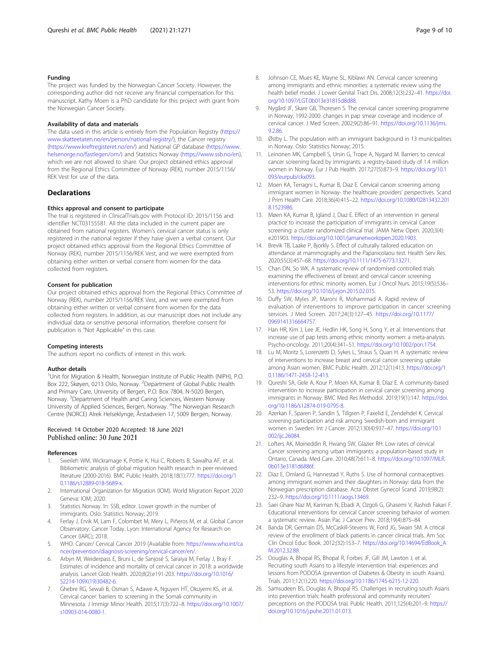### <span id="page-8-0"></span>Funding

The project was funded by the Norwegian Cancer Society. However, the corresponding author did not receive any financial compensation for this manuscript. Kathy Moen is a PhD candidate for this project with grant from the Norwegian Cancer Society.

### Availability of data and materials

The data used in this article is entirely from the Population Registry [\(https://](https://www.skatteetaten.no/en/person/national-registry/) [www.skatteetaten.no/en/person/national-registry/](https://www.skatteetaten.no/en/person/national-registry/)), the Cancer registry (<https://www.kreftregisteret.no/en/>) and National GP database ([https://www.](https://www.helsenorge.no/fastlegen/om/) [helsenorge.no/fastlegen/om/](https://www.helsenorge.no/fastlegen/om/)) and Statistics Norway (<https://www.ssb.no/en>), which we are not allowed to share. Our project obtained ethics approval from the Regional Ethics Committee of Norway (REK), number 2015/1156/ REK Vest for use of the data.

# Declarations

#### Ethics approval and consent to participate

The trial is registered in ClinicalTrials.gov with Protocol ID: 2015/1156 and identifier NCT03155581. All the data included in the current paper are obtained from national registers. Women's cervical cancer status is only registered in the national register if they have given a verbal consent. Our project obtained ethics approval from the Regional Ethics Committee of Norway (REK), number 2015/1156/REK Vest, and we were exempted from obtaining either written or verbal consent from women for the data collected from registers.

#### Consent for publication

Our project obtained ethics approval from the Regional Ethics Committee of Norway (REK), number 2015/1156/REK Vest, and we were exempted from obtaining either written or verbal consent from women for the data collected from registers. In addition, as our manuscript does not include any individual data or sensitive personal information, therefore consent for publication is "Not Applicable" in this case.

#### Competing interests

The authors report no conflicts of interest in this work.

#### Author details

<sup>1</sup>Unit for Migration & Health, Norwegian Institute of Public Health (NIPH), P.O. Box 222, Skøyen, 0213 Oslo, Norway. <sup>2</sup>Department of Global Public Health and Primary Care, University of Bergen, P.O. Box 7804, N-5020 Bergen, Norway. <sup>3</sup> Department of Health and Caring Sciences, Western Norway University of Applied Sciences, Bergen, Norway. <sup>4</sup>The Norwegian Research Centre (NORCE) Alrek Helseklynge, Årstadveien 17, 5009 Bergen, Norway.

# Received: 14 October 2020 Accepted: 18 June 2021 Published online: 30 June 2021

#### References

- 1. Sweileh WM, Wickramage K, Pottie K, Hui C, Roberts B, Sawalha AF, et al. Bibliometric analysis of global migration health research in peer-reviewed literature (2000-2016). BMC Public Health. 2018;18(1):777. [https://doi.org/1](https://doi.org/10.1186/s12889-018-5689-x) [0.1186/s12889-018-5689-x](https://doi.org/10.1186/s12889-018-5689-x).
- 2. International Organization for Migration (IOM). World Migration Report 2020 Geneva: IOM; 2020.
- 3. Statistics Norway. In: SSB, editor. Lower growth in the number of immigrants. Oslo: Statistics Norway; 2019.
- 4. Ferlay J, Ervik M, Lam F, Colombet M, Mery L, Piñeros M, et al. Global Cancer Observatory: Cancer Today. Lyon: International Agency for Research on Cancer (IARC); 2018.
- 5. WHO. Cancer/ Cervical Cancer 2019 [Available from: [https://www.who.int/ca](https://www.who.int/cancer/prevention/diagnosis-screening/cervical-cancer/en/) [ncer/prevention/diagnosis-screening/cervical-cancer/en/.](https://www.who.int/cancer/prevention/diagnosis-screening/cervical-cancer/en/)
- 6. Arbyn M, Weiderpass E, Bruni L, de Sanjosé S, Saraiya M, Ferlay J, Bray F. Estimates of incidence and mortality of cervical cancer in 2018: a worldwide analysis. Lancet Glob Health. 2020;8(2):e191-203. [https://doi.org/10.1016/](https://doi.org/10.1016/S2214-109X(19)30482-6) [S2214-109X\(19\)30482-6.](https://doi.org/10.1016/S2214-109X(19)30482-6)
- 7. Ghebre RG, Sewali B, Osman S, Adawe A, Nguyen HT, Okuyemi KS, et al. Cervical cancer: barriers to screening in the Somali community in Minnesota. J Immigr Minor Health. 2015;17(3):722–8. [https://doi.org/10.1007/](https://doi.org/10.1007/s10903-014-0080-1) [s10903-014-0080-1.](https://doi.org/10.1007/s10903-014-0080-1)
- 8. Johnson CE, Mues KE, Mayne SL, Kiblawi AN. Cervical cancer screening among immigrants and ethnic minorities: a systematic review using the health belief model. J Lower Genital Tract Dis. 2008;12(3):232–41. [https://doi.](https://doi.org/10.1097/LGT.0b013e31815d8d88) [org/10.1097/LGT.0b013e31815d8d88.](https://doi.org/10.1097/LGT.0b013e31815d8d88)
- 9. Nygård JF, Skare GB, Thoresen S. The cervical cancer screening programme in Norway, 1992-2000: changes in pap smear coverage and incidence of cervical cancer. J Med Screen. 2002;9(2):86–91. [https://doi.org/10.1136/jms.](https://doi.org/10.1136/jms.9.2.86) [9.2.86.](https://doi.org/10.1136/jms.9.2.86)
- 10. Østby L. The population with an immigrant background in 13 municipalities in Norway. Oslo: Statistics Norway; 2015.
- 11. Leinonen MK, Campbell S, Ursin G, Trope A, Nygard M. Barriers to cervical cancer screening faced by immigrants: a registry-based study of 1.4 million women in Norway. Eur J Pub Health. 2017;27(5):873–9. [https://doi.org/10.1](https://doi.org/10.1093/eurpub/ckx093) [093/eurpub/ckx093.](https://doi.org/10.1093/eurpub/ckx093)
- 12. Moen KA, Terragni L, Kumar B, Diaz E. Cervical cancer screening among immigrant women in Norway- the healthcare providers' perspectives. Scand J Prim Health Care. 2018;36(4):415–22. [https://doi.org/10.1080/02813432.201](https://doi.org/10.1080/02813432.2018.1523986) [8.1523986](https://doi.org/10.1080/02813432.2018.1523986).
- 13. Møen KA, Kumar B, Igland J, Diaz E. Effect of an intervention in general practice to increase the participation of immigrants in cervical Cancer screening: a cluster randomized clinical trial. JAMA Netw Open. 2020;3(4): e201903. [https://doi.org/10.1001/jamanetworkopen.2020.1903.](https://doi.org/10.1001/jamanetworkopen.2020.1903)
- 14. Brevik TB, Laake P, Bjorkly S. Effect of culturally tailored education on attendance at mammography and the Papanicolaou test. Health Serv Res. 2020;55(3):457–68. <https://doi.org/10.1111/1475-6773.13271>.
- 15. Chan DN, So WK. A systematic review of randomised controlled trials examining the effectiveness of breast and cervical cancer screening interventions for ethnic minority women. Eur J Oncol Nurs. 2015;19(5):536– 53. [https://doi.org/10.1016/j.ejon.2015.02.015.](https://doi.org/10.1016/j.ejon.2015.02.015)
- 16. Duffy SW, Myles JP, Maroni R, Mohammad A. Rapid review of evaluation of interventions to improve participation in cancer screening services. J Med Screen. 2017;24(3):127–45. [https://doi.org/10.1177/](https://doi.org/10.1177/0969141316664757) [0969141316664757.](https://doi.org/10.1177/0969141316664757)
- 17. Han HR, Kim J, Lee JE, Hedlin HK, Song H, Song Y, et al. Interventions that increase use of pap tests among ethnic minority women: a meta-analysis. Psycho-oncology. 2011;20(4):341–51. <https://doi.org/10.1002/pon.1754>.
- 18. Lu M, Moritz S, Lorenzetti D, Sykes L, Straus S, Quan H. A systematic review of interventions to increase breast and cervical cancer screening uptake among Asian women. BMC Public Health. 2012;12(1):413. [https://doi.org/1](https://doi.org/10.1186/1471-2458-12-413) [0.1186/1471-2458-12-413](https://doi.org/10.1186/1471-2458-12-413).
- 19. Qureshi SA, Gele A, Kour P, Moen KA, Kumar B, Diaz E. A community-based intervention to increase participation in cervical cancer screening among immigrants in Norway. BMC Med Res Methodol. 2019;19(1):147. [https://doi.](https://doi.org/10.1186/s12874-019-0795-8) [org/10.1186/s12874-019-0795-8](https://doi.org/10.1186/s12874-019-0795-8).
- 20. Azerkan F, Sparen P, Sandin S, Tillgren P, Faxelid E, Zendehdel K. Cervical screening participation and risk among Swedish-born and immigrant women in Sweden. Int J Cancer. 2012;130(4):937–47. [https://doi.org/10.1](https://doi.org/10.1002/ijc.26084) [002/ijc.26084.](https://doi.org/10.1002/ijc.26084)
- 21. Lofters AK, Moineddin R, Hwang SW, Glazier RH. Low rates of cervical Cancer screening among urban immigrants: a population-based study in Ontario, Canada. Med Care. 2010;48(7):611–8. [https://doi.org/10.1097/MLR.](https://doi.org/10.1097/MLR.0b013e3181d6886f) [0b013e3181d6886f.](https://doi.org/10.1097/MLR.0b013e3181d6886f)
- 22. Diaz E, Omland G, Hannestad Y, Ruths S. Use of hormonal contraceptives among immigrant women and their daughters in Norway: data from the Norwegian prescription database. Acta Obstet Gynecol Scand. 2019;98(2): 232–9. <https://doi.org/10.1111/aogs.13469>.
- 23. Saei Ghare Naz M, Kariman N, Ebadi A, Ozgoli G, Ghasemi V, Rashidi Fakari F. Educational interventions for cervical Cancer screening behavior of women: a systematic review. Asian Pac J Cancer Prev. 2018;19(4):875–84.
- 24. Banda DR, Germain DS, McCaskill-Stevens W, Ford JG, Swain SM. A critical review of the enrollment of black patients in cancer clinical trials. Am Soc Clin Oncol Educ Book. 2012;(32):153–7. [https://doi.org/10.14694/EdBook\\_A](https://doi.org/10.14694/EdBook_AM.2012.32.88) [M.2012.32.88](https://doi.org/10.14694/EdBook_AM.2012.32.88).
- 25. Douglas A, Bhopal RS, Bhopal R, Forbes JF, Gill JM, Lawton J, et al. Recruiting south Asians to a lifestyle intervention trial: experiences and lessons from PODOSA (prevention of Diabetes & Obesity in south Asians). Trials. 2011;12(1):220. [https://doi.org/10.1186/1745-6215-12-220.](https://doi.org/10.1186/1745-6215-12-220)
- 26. Samsudeen BS, Douglas A, Bhopal RS. Challenges in recruiting south Asians into prevention trials: health professional and community recruiters' perceptions on the PODOSA trial. Public Health. 2011;125(4):201–9. [https://](https://doi.org/10.1016/j.puhe.2011.01.013) [doi.org/10.1016/j.puhe.2011.01.013.](https://doi.org/10.1016/j.puhe.2011.01.013)